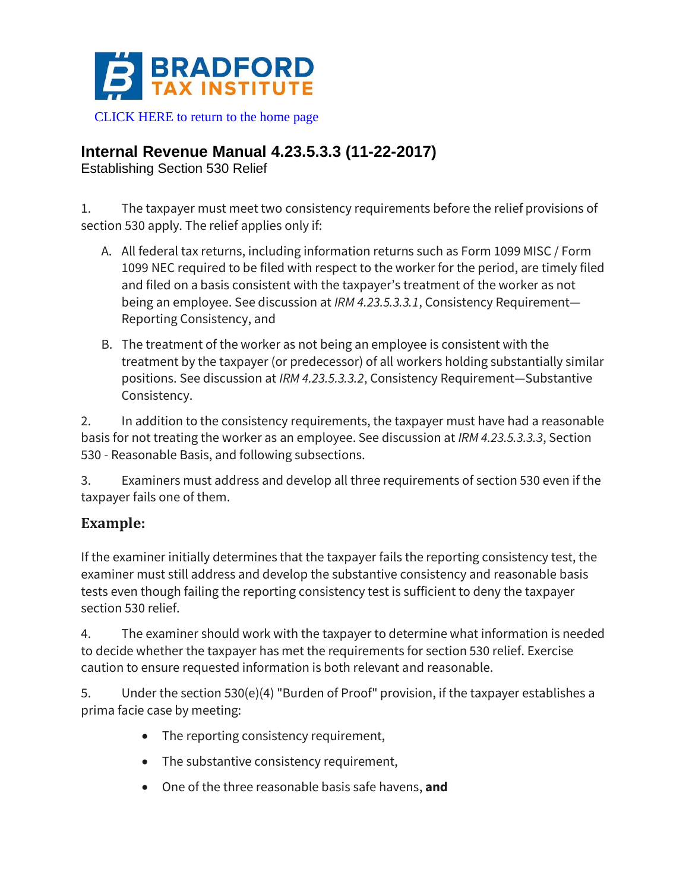

[CLICK HERE to return to the home page](https://bradfordtaxinstitute.com)

## **Internal Revenue Manual 4.23.5.3.3 (11-22-2017)**

Establishing Section 530 Relief

1. The taxpayer must meet two consistency requirements before the relief provisions of section 530 apply. The relief applies only if:

- A. All federal tax returns, including information returns such as Form 1099 MISC / Form 1099 NEC required to be filed with respect to the worker for the period, are timely filed and filed on a basis consistent with the taxpayer's treatment of the worker as not being an employee. See discussion at *IRM 4.23.5.3.3.1*, Consistency Requirement— Reporting Consistency, and
- B. The treatment of the worker as not being an employee is consistent with the treatment by the taxpayer (or predecessor) of all workers holding substantially similar positions. See discussion at *IRM 4.23.5.3.3.2*, Consistency Requirement—Substantive Consistency.

2. In addition to the consistency requirements, the taxpayer must have had a reasonable basis for not treating the worker as an employee. See discussion at *IRM 4.23.5.3.3.3*, Section 530 - Reasonable Basis, and following subsections.

3. Examiners must address and develop all three requirements of section 530 even if the taxpayer fails one of them.

## **Example:**

If the examiner initially determines that the taxpayer fails the reporting consistency test, the examiner must still address and develop the substantive consistency and reasonable basis tests even though failing the reporting consistency test is sufficient to deny the taxpayer section 530 relief.

4. The examiner should work with the taxpayer to determine what information is needed to decide whether the taxpayer has met the requirements for section 530 relief. Exercise caution to ensure requested information is both relevant and reasonable.

5. Under the section 530(e)(4) "Burden of Proof" provision, if the taxpayer establishes a prima facie case by meeting:

- The reporting consistency requirement,
- The substantive consistency requirement,
- One of the three reasonable basis safe havens, **and**